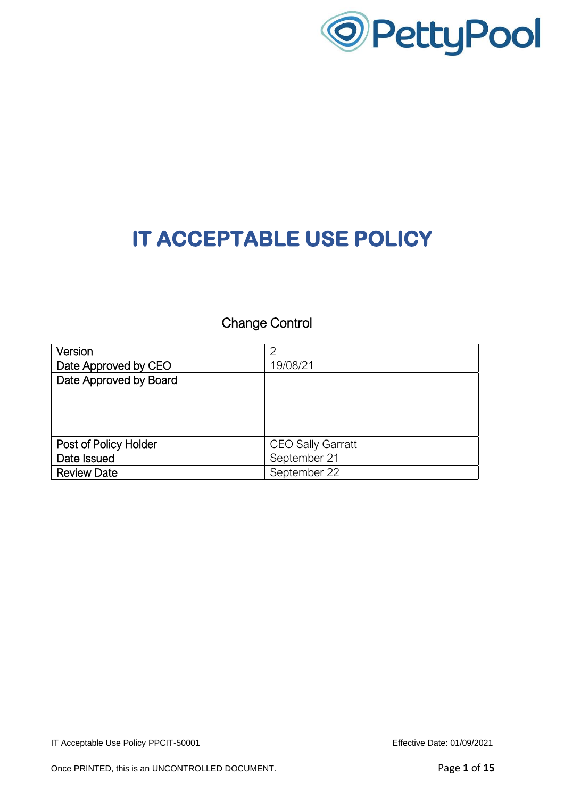

Change Control

| Version                | っ                        |
|------------------------|--------------------------|
| Date Approved by CEO   | 19/08/21                 |
| Date Approved by Board |                          |
|                        |                          |
|                        |                          |
|                        |                          |
|                        |                          |
| Post of Policy Holder  | <b>CEO Sally Garratt</b> |
| Date Issued            | September 21             |
| <b>Review Date</b>     | September 22             |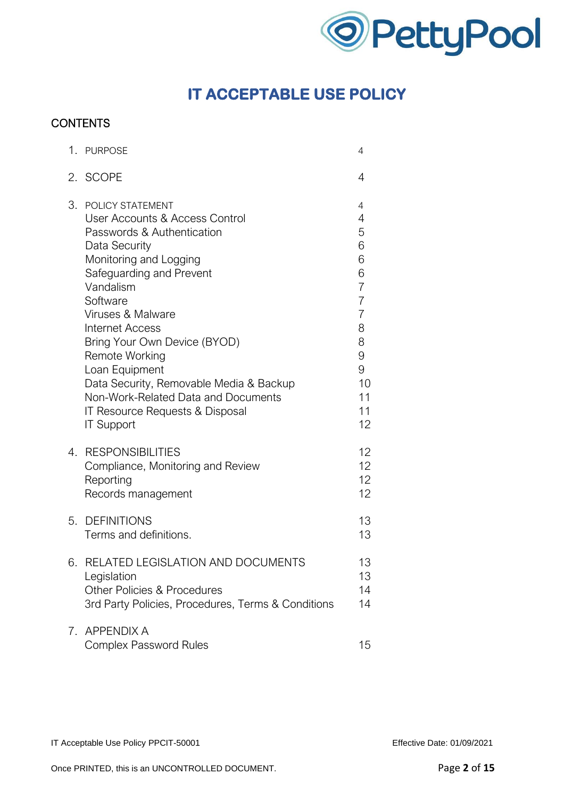

### **CONTENTS**

|            | 1. PURPOSE                                                                                                                                                                                                                                                                                                                                                                                                                                    | 4                                                                                                                            |
|------------|-----------------------------------------------------------------------------------------------------------------------------------------------------------------------------------------------------------------------------------------------------------------------------------------------------------------------------------------------------------------------------------------------------------------------------------------------|------------------------------------------------------------------------------------------------------------------------------|
|            | 2. SCOPE                                                                                                                                                                                                                                                                                                                                                                                                                                      | 4                                                                                                                            |
| 3.         | POLICY STATEMENT<br>User Accounts & Access Control<br>Passwords & Authentication<br>Data Security<br>Monitoring and Logging<br>Safeguarding and Prevent<br>Vandalism<br>Software<br>Viruses & Malware<br><b>Internet Access</b><br>Bring Your Own Device (BYOD)<br>Remote Working<br>Loan Equipment<br>Data Security, Removable Media & Backup<br>Non-Work-Related Data and Documents<br>IT Resource Requests & Disposal<br><b>IT Support</b> | 4<br>4<br>5<br>6<br>6<br>6<br>$\overline{7}$<br>$\overline{7}$<br>$\overline{7}$<br>8<br>8<br>9<br>9<br>10<br>11<br>11<br>12 |
| 4.         | <b>RESPONSIBILITIES</b><br>Compliance, Monitoring and Review<br>Reporting<br>Records management                                                                                                                                                                                                                                                                                                                                               | 12<br>12<br>12<br>12                                                                                                         |
| 5.         | <b>DEFINITIONS</b><br>Terms and definitions.                                                                                                                                                                                                                                                                                                                                                                                                  | 13<br>13                                                                                                                     |
| 6.         | RELATED LEGISLATION AND DOCUMENTS<br>Legislation<br><b>Other Policies &amp; Procedures</b><br>3rd Party Policies, Procedures, Terms & Conditions                                                                                                                                                                                                                                                                                              | 13<br>13<br>14<br>14                                                                                                         |
| $\sqrt{2}$ | <b>APPENDIX A</b><br><b>Complex Password Rules</b>                                                                                                                                                                                                                                                                                                                                                                                            | 15                                                                                                                           |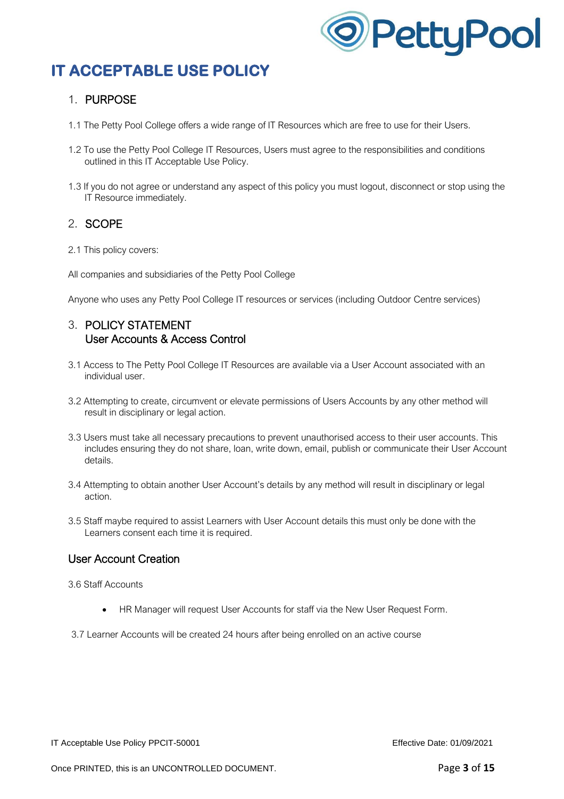

### 1. PURPOSE

- 1.1 The Petty Pool College offers a wide range of IT Resources which are free to use for their Users.
- 1.2 To use the Petty Pool College IT Resources, Users must agree to the responsibilities and conditions outlined in this IT Acceptable Use Policy.
- 1.3 If you do not agree or understand any aspect of this policy you must logout, disconnect or stop using the IT Resource immediately.

### 2. SCOPE

- 2.1 This policy covers:
- All companies and subsidiaries of the Petty Pool College

Anyone who uses any Petty Pool College IT resources or services (including Outdoor Centre services)

### 3. POLICY STATEMENT User Accounts & Access Control

- 3.1 Access to The Petty Pool College IT Resources are available via a User Account associated with an individual user.
- 3.2 Attempting to create, circumvent or elevate permissions of Users Accounts by any other method will result in disciplinary or legal action.
- 3.3 Users must take all necessary precautions to prevent unauthorised access to their user accounts. This includes ensuring they do not share, loan, write down, email, publish or communicate their User Account details.
- 3.4 Attempting to obtain another User Account's details by any method will result in disciplinary or legal action.
- 3.5 Staff maybe required to assist Learners with User Account details this must only be done with the Learners consent each time it is required.

#### User Account Creation

3.6 Staff Accounts

• HR Manager will request User Accounts for staff via the New User Request Form.

3.7 Learner Accounts will be created 24 hours after being enrolled on an active course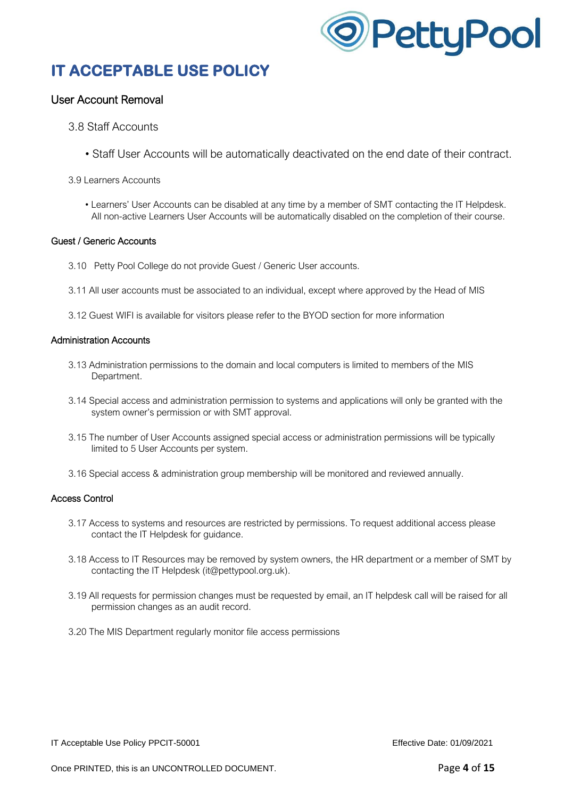

### User Account Removal

#### 3.8 Staff Accounts

• Staff User Accounts will be automatically deactivated on the end date of their contract.

#### 3.9 Learners Accounts

• Learners' User Accounts can be disabled at any time by a member of SMT contacting the IT Helpdesk. All non-active Learners User Accounts will be automatically disabled on the completion of their course.

#### Guest / Generic Accounts

- 3.10 Petty Pool College do not provide Guest / Generic User accounts.
- 3.11 All user accounts must be associated to an individual, except where approved by the Head of MIS
- 3.12 Guest WIFI is available for visitors please refer to the BYOD section for more information

#### Administration Accounts

- 3.13 Administration permissions to the domain and local computers is limited to members of the MIS Department.
- 3.14 Special access and administration permission to systems and applications will only be granted with the system owner's permission or with SMT approval.
- 3.15 The number of User Accounts assigned special access or administration permissions will be typically limited to 5 User Accounts per system.
- 3.16 Special access & administration group membership will be monitored and reviewed annually.

#### Access Control

- 3.17 Access to systems and resources are restricted by permissions. To request additional access please contact the IT Helpdesk for guidance.
- 3.18 Access to IT Resources may be removed by system owners, the HR department or a member of SMT by contacting the IT Helpdesk (it@pettypool.org.uk).
- 3.19 All requests for permission changes must be requested by email, an IT helpdesk call will be raised for all permission changes as an audit record.
- 3.20 The MIS Department regularly monitor file access permissions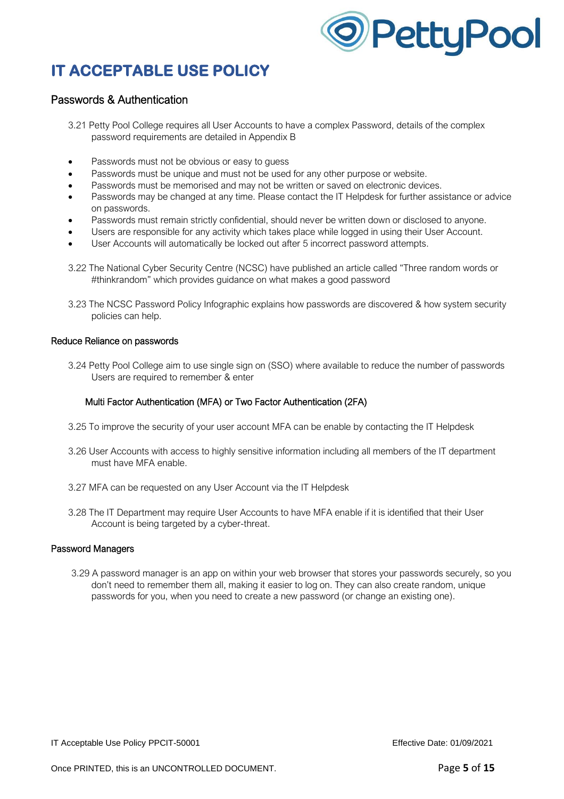

#### Passwords & Authentication

- 3.21 Petty Pool College requires all User Accounts to have a complex Password, details of the complex password requirements are detailed in Appendix B
- Passwords must not be obvious or easy to quess
- Passwords must be unique and must not be used for any other purpose or website.
- Passwords must be memorised and may not be written or saved on electronic devices.
- Passwords may be changed at any time. Please contact the IT Helpdesk for further assistance or advice on passwords.
- Passwords must remain strictly confidential, should never be written down or disclosed to anyone.
- Users are responsible for any activity which takes place while logged in using their User Account.
- User Accounts will automatically be locked out after 5 incorrect password attempts.
- 3.22 The National Cyber Security Centre (NCSC) have published an article called "Three random words or #thinkrandom" which provides guidance on what makes a good password
- 3.23 The NCSC Password Policy Infographic explains how passwords are discovered & how system security policies can help.

#### Reduce Reliance on passwords

3.24 Petty Pool College aim to use single sign on (SSO) where available to reduce the number of passwords Users are required to remember & enter

#### Multi Factor Authentication (MFA) or Two Factor Authentication (2FA)

- 3.25 To improve the security of your user account MFA can be enable by contacting the IT Helpdesk
- 3.26 User Accounts with access to highly sensitive information including all members of the IT department must have MFA enable.
- 3.27 MFA can be requested on any User Account via the IT Helpdesk
- 3.28 The IT Department may require User Accounts to have MFA enable if it is identified that their User Account is being targeted by a cyber-threat.

#### Password Managers

3.29 A password manager is an app on within your web browser that stores your passwords securely, so you don't need to remember them all, making it easier to log on. They can also create random, unique passwords for you, when you need to create a new password (or change an existing one).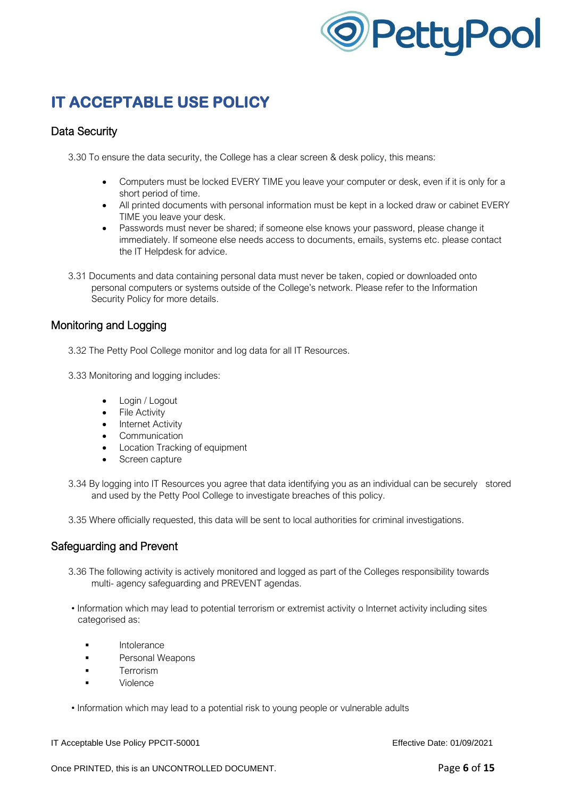

### Data Security

3.30 To ensure the data security, the College has a clear screen & desk policy, this means:

- Computers must be locked EVERY TIME you leave your computer or desk, even if it is only for a short period of time.
- All printed documents with personal information must be kept in a locked draw or cabinet EVERY TIME you leave your desk.
- Passwords must never be shared; if someone else knows your password, please change it immediately. If someone else needs access to documents, emails, systems etc. please contact the IT Helpdesk for advice.
- 3.31 Documents and data containing personal data must never be taken, copied or downloaded onto personal computers or systems outside of the College's network. Please refer to the Information Security Policy for more details.

### Monitoring and Logging

- 3.32 The Petty Pool College monitor and log data for all IT Resources.
- 3.33 Monitoring and logging includes:
	- Login / Logout
	- **File Activity**
	- Internet Activity
	- Communication
	- Location Tracking of equipment
	- Screen capture
- 3.34 By logging into IT Resources you agree that data identifying you as an individual can be securely stored and used by the Petty Pool College to investigate breaches of this policy.
- 3.35 Where officially requested, this data will be sent to local authorities for criminal investigations.

#### Safeguarding and Prevent

- 3.36 The following activity is actively monitored and logged as part of the Colleges responsibility towards multi- agency safeguarding and PREVENT agendas.
- Information which may lead to potential terrorism or extremist activity o Internet activity including sites categorised as:
	- Intolerance
	- **Personal Weapons**
	- **■** Terrorism
	- **Violence**
- Information which may lead to a potential risk to young people or vulnerable adults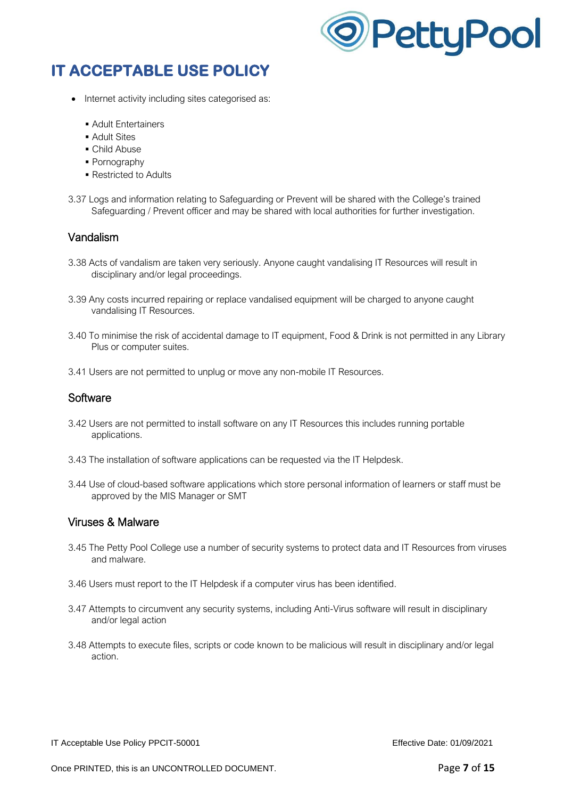

- Internet activity including sites categorised as:
	- Adult Entertainers
	- Adult Sites
	- Child Abuse
	- Pornography
	- Restricted to Adults
- 3.37 Logs and information relating to Safeguarding or Prevent will be shared with the College's trained Safeguarding / Prevent officer and may be shared with local authorities for further investigation.

#### Vandalism

- 3.38 Acts of vandalism are taken very seriously. Anyone caught vandalising IT Resources will result in disciplinary and/or legal proceedings.
- 3.39 Any costs incurred repairing or replace vandalised equipment will be charged to anyone caught vandalising IT Resources.
- 3.40 To minimise the risk of accidental damage to IT equipment, Food & Drink is not permitted in any Library Plus or computer suites.
- 3.41 Users are not permitted to unplug or move any non-mobile IT Resources.

#### **Software**

- 3.42 Users are not permitted to install software on any IT Resources this includes running portable applications.
- 3.43 The installation of software applications can be requested via the IT Helpdesk.
- 3.44 Use of cloud-based software applications which store personal information of learners or staff must be approved by the MIS Manager or SMT

#### Viruses & Malware

- 3.45 The Petty Pool College use a number of security systems to protect data and IT Resources from viruses and malware.
- 3.46 Users must report to the IT Helpdesk if a computer virus has been identified.
- 3.47 Attempts to circumvent any security systems, including Anti-Virus software will result in disciplinary and/or legal action
- 3.48 Attempts to execute files, scripts or code known to be malicious will result in disciplinary and/or legal action.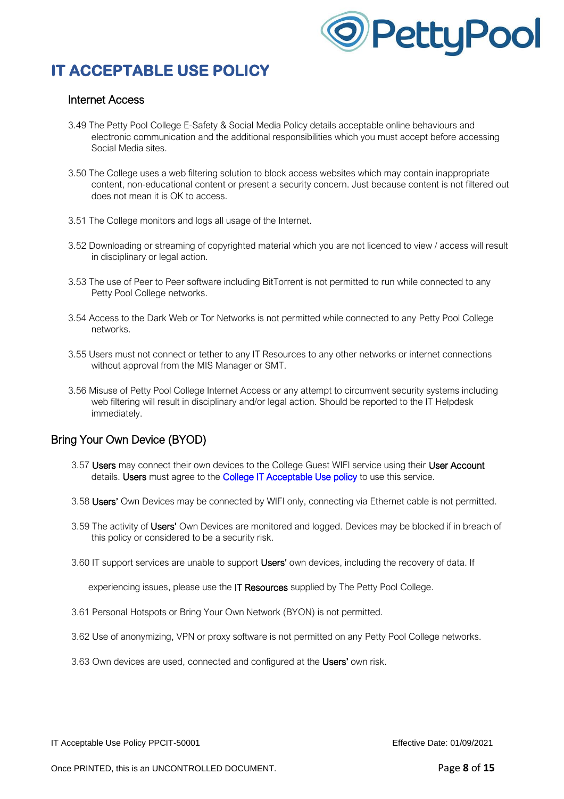

#### Internet Access

- 3.49 The Petty Pool College E-Safety & Social Media Policy details acceptable online behaviours and electronic communication and the additional responsibilities which you must accept before accessing Social Media sites.
- 3.50 The College uses a web filtering solution to block access websites which may contain inappropriate content, non-educational content or present a security concern. Just because content is not filtered out does not mean it is OK to access.
- 3.51 The College monitors and logs all usage of the Internet.
- 3.52 Downloading or streaming of copyrighted material which you are not licenced to view / access will result in disciplinary or legal action.
- 3.53 The use of Peer to Peer software including BitTorrent is not permitted to run while connected to any Petty Pool College networks.
- 3.54 Access to the Dark Web or Tor Networks is not permitted while connected to any Petty Pool College networks.
- 3.55 Users must not connect or tether to any IT Resources to any other networks or internet connections without approval from the MIS Manager or SMT.
- 3.56 Misuse of Petty Pool College Internet Access or any attempt to circumvent security systems including web filtering will result in disciplinary and/or legal action. Should be reported to the IT Helpdesk immediately.

### Bring Your Own Device (BYOD)

- 3.57 Users may connect their own devices to the College Guest WIFI service using their User Account details. Users must agree to the College IT Acceptable Use policy to use this service.
- 3.58 Users' Own Devices may be connected by WIFI only, connecting via Ethernet cable is not permitted.
- 3.59 The activity of Users' Own Devices are monitored and logged. Devices may be blocked if in breach of this policy or considered to be a security risk.
- 3.60 IT support services are unable to support Users' own devices, including the recovery of data. If

experiencing issues, please use the IT Resources supplied by The Petty Pool College.

- 3.61 Personal Hotspots or Bring Your Own Network (BYON) is not permitted.
- 3.62 Use of anonymizing, VPN or proxy software is not permitted on any Petty Pool College networks.
- 3.63 Own devices are used, connected and configured at the Users' own risk.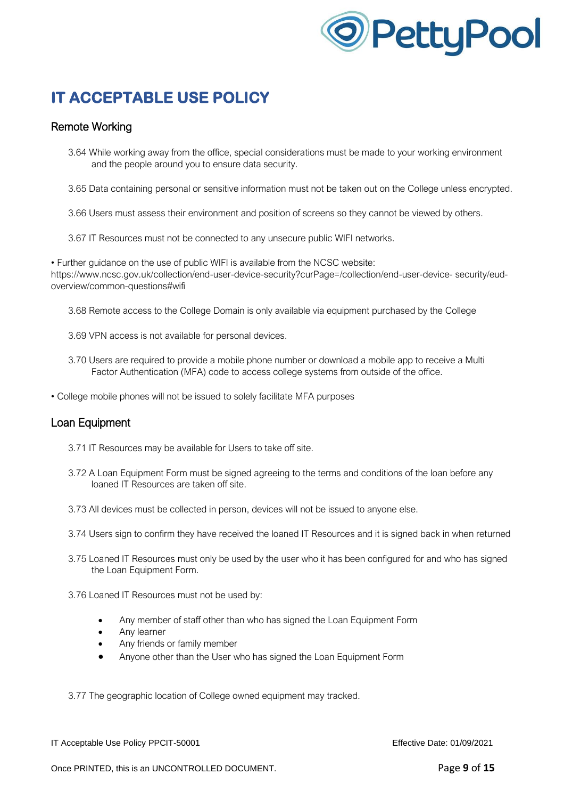

### Remote Working

- 3.64 While working away from the office, special considerations must be made to your working environment and the people around you to ensure data security.
- 3.65 Data containing personal or sensitive information must not be taken out on the College unless encrypted.
- 3.66 Users must assess their environment and position of screens so they cannot be viewed by others.
- 3.67 IT Resources must not be connected to any unsecure public WIFI networks.

• Further guidance on the use of public WIFI is available from the NCSC website: https://www.ncsc.gov.uk/collection/end-user-device-security?curPage=/collection/end-user-device- security/eudoverview/common-questions#wifi

- 3.68 Remote access to the College Domain is only available via equipment purchased by the College
- 3.69 VPN access is not available for personal devices.
- 3.70 Users are required to provide a mobile phone number or download a mobile app to receive a Multi Factor Authentication (MFA) code to access college systems from outside of the office.
- College mobile phones will not be issued to solely facilitate MFA purposes

#### Loan Equipment

- 3.71 IT Resources may be available for Users to take off site.
- 3.72 A Loan Equipment Form must be signed agreeing to the terms and conditions of the loan before any loaned IT Resources are taken off site.
- 3.73 All devices must be collected in person, devices will not be issued to anyone else.
- 3.74 Users sign to confirm they have received the loaned IT Resources and it is signed back in when returned
- 3.75 Loaned IT Resources must only be used by the user who it has been configured for and who has signed the Loan Equipment Form.
- 3.76 Loaned IT Resources must not be used by:
	- Any member of staff other than who has signed the Loan Equipment Form
	- Any learner
	- Any friends or family member
	- Anyone other than the User who has signed the Loan Equipment Form

3.77 The geographic location of College owned equipment may tracked.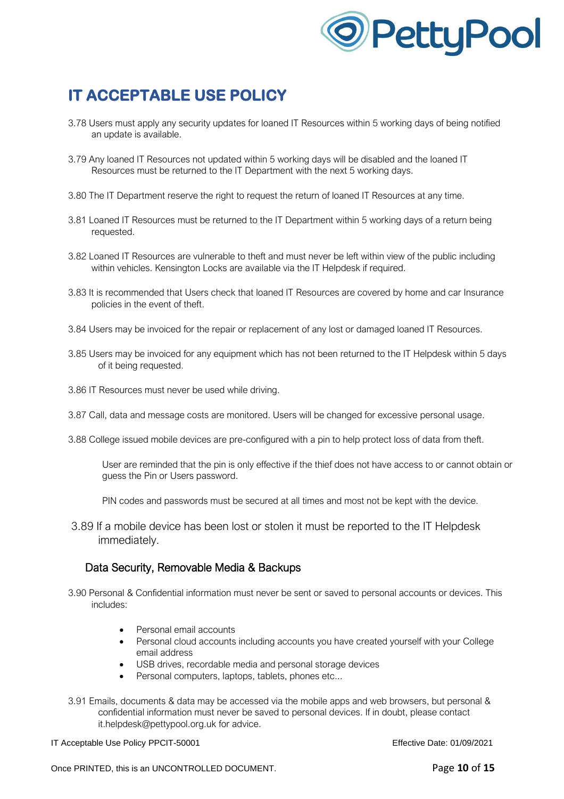

- 3.78 Users must apply any security updates for loaned IT Resources within 5 working days of being notified an update is available.
- 3.79 Any loaned IT Resources not updated within 5 working days will be disabled and the loaned IT Resources must be returned to the IT Department with the next 5 working days.
- 3.80 The IT Department reserve the right to request the return of loaned IT Resources at any time.
- 3.81 Loaned IT Resources must be returned to the IT Department within 5 working days of a return being requested.
- 3.82 Loaned IT Resources are vulnerable to theft and must never be left within view of the public including within vehicles. Kensington Locks are available via the IT Helpdesk if required.
- 3.83 It is recommended that Users check that loaned IT Resources are covered by home and car Insurance policies in the event of theft.
- 3.84 Users may be invoiced for the repair or replacement of any lost or damaged loaned IT Resources.
- 3.85 Users may be invoiced for any equipment which has not been returned to the IT Helpdesk within 5 days of it being requested.
- 3.86 IT Resources must never be used while driving.
- 3.87 Call, data and message costs are monitored. Users will be changed for excessive personal usage.
- 3.88 College issued mobile devices are pre-configured with a pin to help protect loss of data from theft.
	- User are reminded that the pin is only effective if the thief does not have access to or cannot obtain or guess the Pin or Users password.

PIN codes and passwords must be secured at all times and most not be kept with the device.

3.89 If a mobile device has been lost or stolen it must be reported to the IT Helpdesk immediately.

#### Data Security, Removable Media & Backups

- 3.90 Personal & Confidential information must never be sent or saved to personal accounts or devices. This includes:
	- Personal email accounts
	- Personal cloud accounts including accounts you have created yourself with your College email address
	- USB drives, recordable media and personal storage devices
	- Personal computers, laptops, tablets, phones etc...
- 3.91 Emails, documents & data may be accessed via the mobile apps and web browsers, but personal & confidential information must never be saved to personal devices. If in doubt, please contact it.helpdesk@pettypool.org.uk for advice.

IT Acceptable Use Policy PPCIT-50001 extending the USE of the Effective Date: 01/09/2021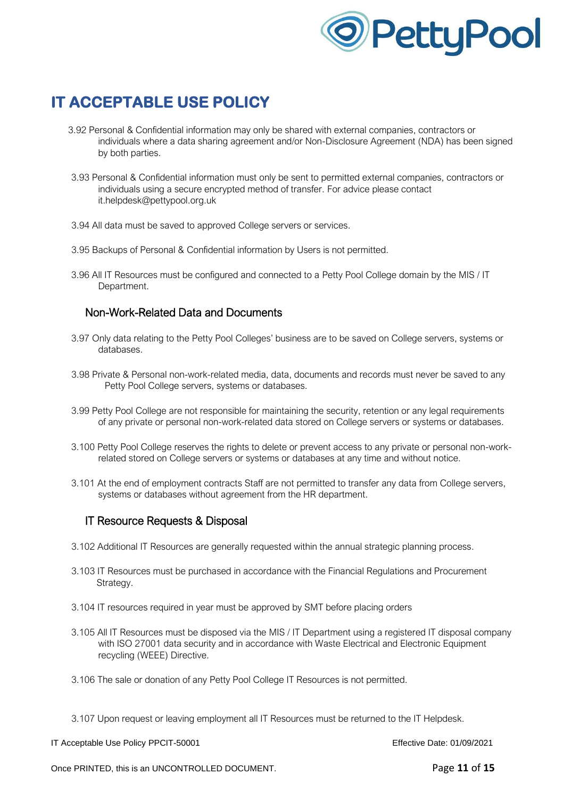

- 3.92 Personal & Confidential information may only be shared with external companies, contractors or individuals where a data sharing agreement and/or Non-Disclosure Agreement (NDA) has been signed by both parties.
- 3.93 Personal & Confidential information must only be sent to permitted external companies, contractors or individuals using a secure encrypted method of transfer. For advice please contact it.helpdesk@pettypool.org.uk
- 3.94 All data must be saved to approved College servers or services.
- 3.95 Backups of Personal & Confidential information by Users is not permitted.
- 3.96 All IT Resources must be configured and connected to a Petty Pool College domain by the MIS / IT Department.

### Non-Work-Related Data and Documents

- 3.97 Only data relating to the Petty Pool Colleges' business are to be saved on College servers, systems or databases.
- 3.98 Private & Personal non-work-related media, data, documents and records must never be saved to any Petty Pool College servers, systems or databases.
- 3.99 Petty Pool College are not responsible for maintaining the security, retention or any legal requirements of any private or personal non-work-related data stored on College servers or systems or databases.
- 3.100 Petty Pool College reserves the rights to delete or prevent access to any private or personal non-workrelated stored on College servers or systems or databases at any time and without notice.
- 3.101 At the end of employment contracts Staff are not permitted to transfer any data from College servers, systems or databases without agreement from the HR department.

#### IT Resource Requests & Disposal

- 3.102 Additional IT Resources are generally requested within the annual strategic planning process.
- 3.103 IT Resources must be purchased in accordance with the Financial Regulations and Procurement Strategy.
- 3.104 IT resources required in year must be approved by SMT before placing orders
- 3.105 All IT Resources must be disposed via the MIS / IT Department using a registered IT disposal company with ISO 27001 data security and in accordance with Waste Electrical and Electronic Equipment recycling (WEEE) Directive.
- 3.106 The sale or donation of any Petty Pool College IT Resources is not permitted.
- 3.107 Upon request or leaving employment all IT Resources must be returned to the IT Helpdesk.

IT Acceptable Use Policy PPCIT-50001 Effective Date: 01/09/2021

Once PRINTED, this is an UNCONTROLLED DOCUMENT. **Page 11 of 15** Page **11** of **15**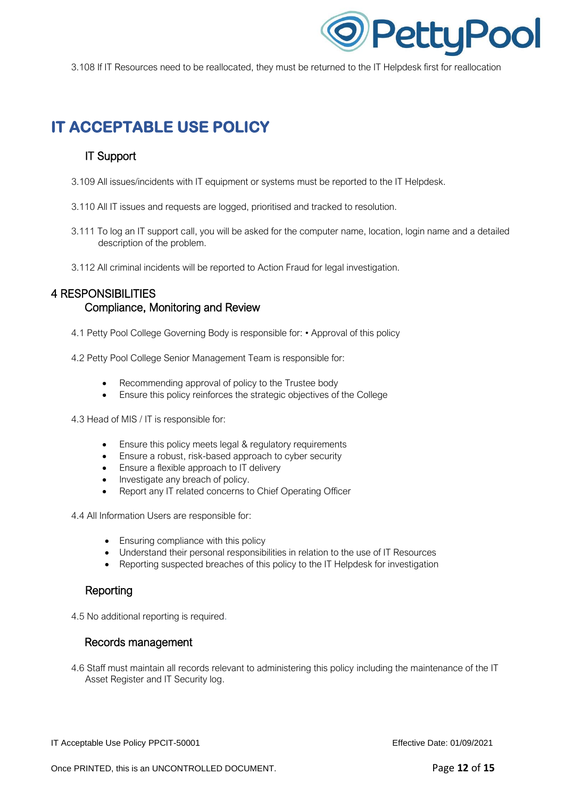

3.108 If IT Resources need to be reallocated, they must be returned to the IT Helpdesk first for reallocation

## **IT ACCEPTABLE USE POLICY**

#### IT Support

- 3.109 All issues/incidents with IT equipment or systems must be reported to the IT Helpdesk.
- 3.110 All IT issues and requests are logged, prioritised and tracked to resolution.
- 3.111 To log an IT support call, you will be asked for the computer name, location, login name and a detailed description of the problem.
- 3.112 All criminal incidents will be reported to Action Fraud for legal investigation.

#### 4 RESPONSIBILITIES Compliance, Monitoring and Review

- 4.1 Petty Pool College Governing Body is responsible for: Approval of this policy
- 4.2 Petty Pool College Senior Management Team is responsible for:
	- Recommending approval of policy to the Trustee body
	- Ensure this policy reinforces the strategic objectives of the College

4.3 Head of MIS / IT is responsible for:

- Ensure this policy meets legal & regulatory requirements
- Ensure a robust, risk-based approach to cyber security
- Ensure a flexible approach to IT delivery
- Investigate any breach of policy.
- Report any IT related concerns to Chief Operating Officer

4.4 All Information Users are responsible for:

- Ensuring compliance with this policy
- Understand their personal responsibilities in relation to the use of IT Resources
- Reporting suspected breaches of this policy to the IT Helpdesk for investigation

#### Reporting

4.5 No additional reporting is required.

#### Records management

4.6 Staff must maintain all records relevant to administering this policy including the maintenance of the IT Asset Register and IT Security log.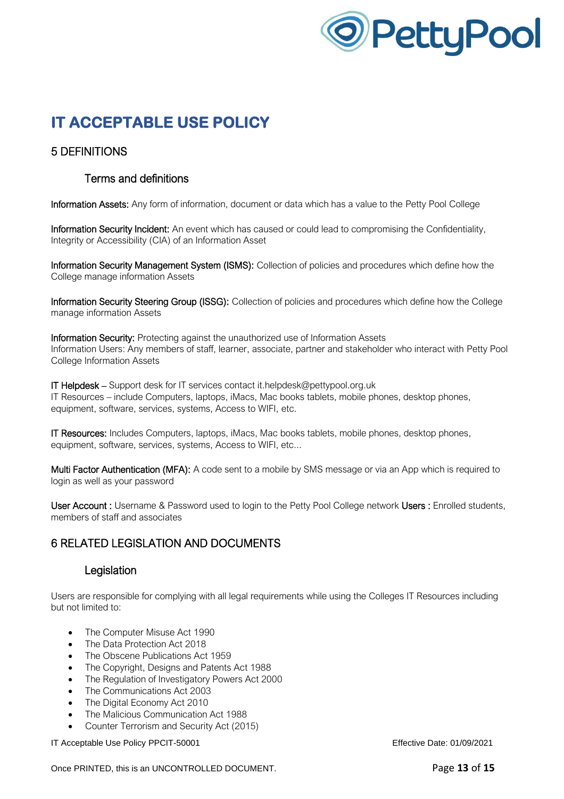

### 5 DEFINITIONS

### Terms and definitions

Information Assets: Any form of information, document or data which has a value to the Petty Pool College

Information Security Incident: An event which has caused or could lead to compromising the Confidentiality, Integrity or Accessibility (CIA) of an Information Asset

Information Security Management System (ISMS): Collection of policies and procedures which define how the College manage information Assets

Information Security Steering Group (ISSG): Collection of policies and procedures which define how the College manage information Assets

Information Security: Protecting against the unauthorized use of Information Assets Information Users: Any members of staff, learner, associate, partner and stakeholder who interact with Petty Pool College Information Assets

IT Helpdesk – Support desk for IT services contact it.helpdesk@pettypool.org.uk IT Resources – include Computers, laptops, iMacs, Mac books tablets, mobile phones, desktop phones, equipment, software, services, systems, Access to WIFI, etc.

IT Resources: Includes Computers, laptops, iMacs, Mac books tablets, mobile phones, desktop phones, equipment, software, services, systems, Access to WIFI, etc...

Multi Factor Authentication (MFA): A code sent to a mobile by SMS message or via an App which is required to login as well as your password

User Account : Username & Password used to login to the Petty Pool College network Users : Enrolled students, members of staff and associates

### 6 RELATED LEGISLATION AND DOCUMENTS

#### Legislation

Users are responsible for complying with all legal requirements while using the Colleges IT Resources including but not limited to:

- The Computer Misuse Act 1990
- The Data Protection Act 2018
- The Obscene Publications Act 1959
- The Copyright, Designs and Patents Act 1988
- The Regulation of Investigatory Powers Act 2000
- The Communications Act 2003
- The Digital Economy Act 2010
- The Malicious Communication Act 1988
- Counter Terrorism and Security Act (2015)

IT Acceptable Use Policy PPCIT-50001 Effective Date: 01/09/2021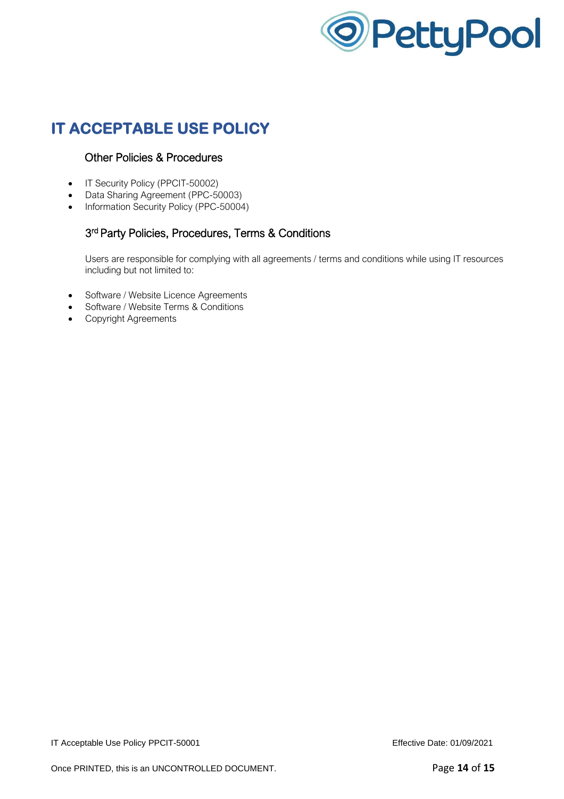

### Other Policies & Procedures

- IT Security Policy (PPCIT-50002)
- Data Sharing Agreement (PPC-50003)
- Information Security Policy (PPC-50004)

### 3 rd Party Policies, Procedures, Terms & Conditions

Users are responsible for complying with all agreements / terms and conditions while using IT resources including but not limited to:

- Software / Website Licence Agreements
- Software / Website Terms & Conditions
- Copyright Agreements